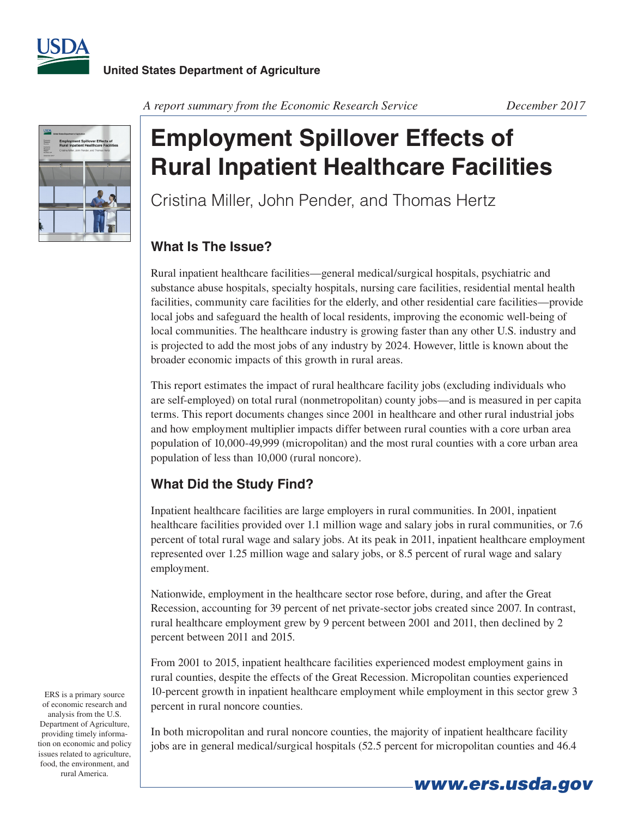



*A report summary from the Economic Research Service December 2017*

## **Employment Spillover Effects of Rural Inpatient Healthcare Facilities**

Cristina Miller, John Pender, and Thomas Hertz

## **What Is The Issue?**

Rural inpatient healthcare facilities—general medical/surgical hospitals, psychiatric and substance abuse hospitals, specialty hospitals, nursing care facilities, residential mental health facilities, community care facilities for the elderly, and other residential care facilities—provide local jobs and safeguard the health of local residents, improving the economic well-being of local communities. The healthcare industry is growing faster than any other U.S. industry and is projected to add the most jobs of any industry by 2024. However, little is known about the broader economic impacts of this growth in rural areas.

This report estimates the impact of rural healthcare facility jobs (excluding individuals who are self-employed) on total rural (nonmetropolitan) county jobs—and is measured in per capita terms. This report documents changes since 2001 in healthcare and other rural industrial jobs and how employment multiplier impacts differ between rural counties with a core urban area population of 10,000-49,999 (micropolitan) and the most rural counties with a core urban area population of less than 10,000 (rural noncore).

## **What Did the Study Find?**

Inpatient healthcare facilities are large employers in rural communities. In 2001, inpatient healthcare facilities provided over 1.1 million wage and salary jobs in rural communities, or 7.6 percent of total rural wage and salary jobs. At its peak in 2011, inpatient healthcare employment represented over 1.25 million wage and salary jobs, or 8.5 percent of rural wage and salary employment.

Nationwide, employment in the healthcare sector rose before, during, and after the Great Recession, accounting for 39 percent of net private-sector jobs created since 2007. In contrast, rural healthcare employment grew by 9 percent between 2001 and 2011, then declined by 2 percent between 2011 and 2015.

From 2001 to 2015, inpatient healthcare facilities experienced modest employment gains in rural counties, despite the effects of the Great Recession. Micropolitan counties experienced 10-percent growth in inpatient healthcare employment while employment in this sector grew 3 percent in rural noncore counties.

In both micropolitan and rural noncore counties, the majority of inpatient healthcare facility jobs are in general medical/surgical hospitals (52.5 percent for micropolitan counties and 46.4

ERS is a primary source of economic research and analysis from the U.S. Department of Agriculture, providing timely information on economic and policy issues related to agriculture, food, the environment, and rural America.